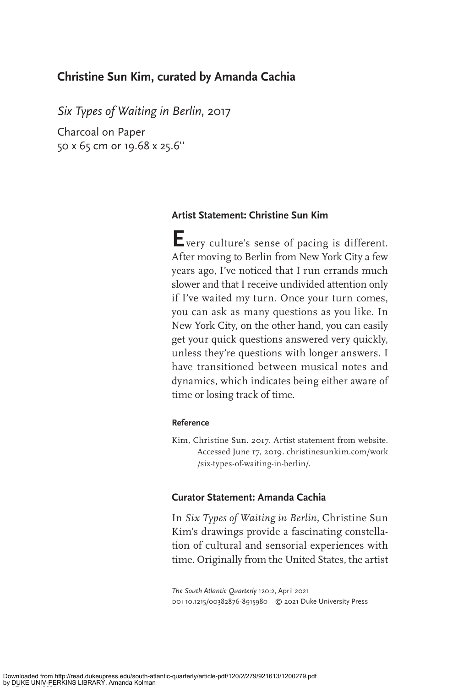## **Christine Sun Kim, curated by Amanda Cachia**

*Six Types of Waiting in Berlin*, 2017

Charcoal on Paper 50 x 65 cm or 19.68 x 25.6''

## **Artist Statement: Christine Sun Kim**

**E**very culture's sense of pacing is different. After moving to Berlin from New York City a few years ago, I've noticed that I run errands much slower and that I receive undivided attention only if I've waited my turn. Once your turn comes, you can ask as many questions as you like. In New York City, on the other hand, you can easily get your quick questions answered very quickly, unless they're questions with longer answers. I have transitioned between musical notes and dynamics, which indicates being either aware of time or losing track of time.

## **Reference**

Kim, Christine Sun. 2017. Artist statement from website. Accessed June 17, 2019. christinesunkim.com/work /six-types-of-waiting-in-berlin/.

## **Curator Statement: Amanda Cachia**

In *Six Types of Waiting in Berlin*, Christine Sun Kim's drawings provide a fascinating constellation of cultural and sensorial experiences with time. Originally from the United States, the artist

*The South Atlantic Quarterly* 120:2, April 2021 doi 10.1215/00382876-8915980 © 2021 Duke University Press

on 17 August 2021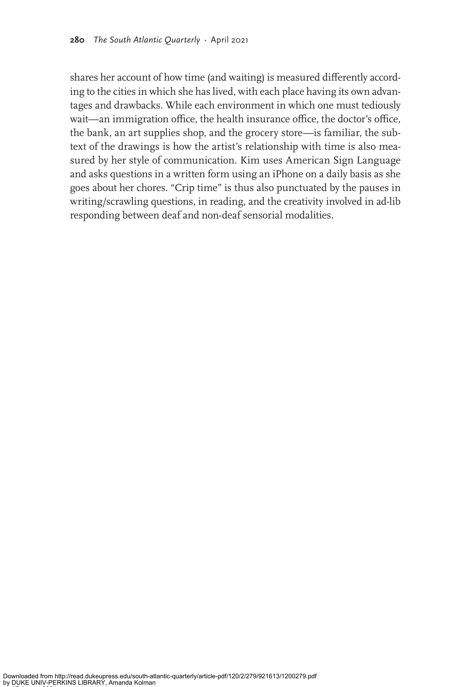shares her account of how time (and waiting) is measured differently according to the cities in which she has lived, with each place having its own advantages and drawbacks. While each environment in which one must tediously wait—an immigration office, the health insurance office, the doctor's office, the bank, an art supplies shop, and the grocery store—is familiar, the subtext of the drawings is how the artist's relationship with time is also measured by her style of communication. Kim uses American Sign Language and asks questions in a written form using an iPhone on a daily basis as she goes about her chores. "Crip time" is thus also punctuated by the pauses in writing/scrawling questions, in reading, and the creativity involved in ad-lib responding between deaf and non-deaf sensorial modalities.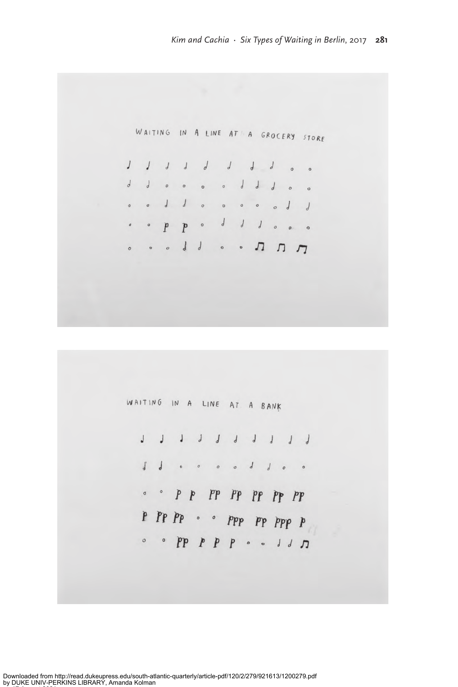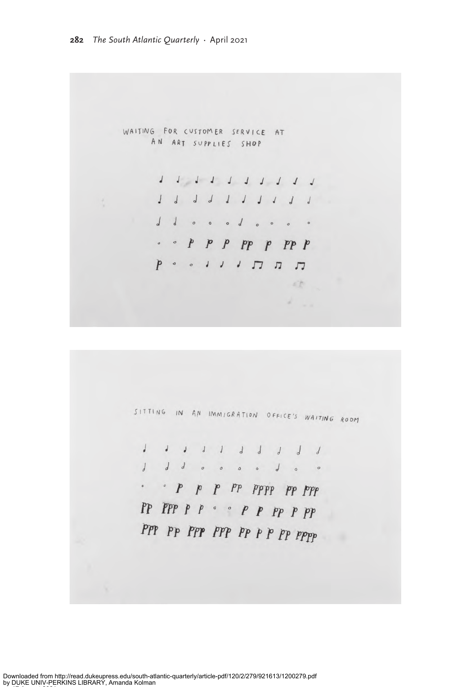WAITING FOR CUSTOMER SERVICE AT AN ART SUPPLIES SHOP

> 1 1 1 1 1 1 1 1 1 1 1 1 1 1 1 1 1 1 1 1 ddooodooo  $\cdot$   $\circ$   $P$   $P$   $P$   $P$   $P$   $P$   $P$   $P$

> > 可热  $\begin{array}{ccc} \mathbb{X} & & \mathbb{X} \\ & & \mathbb{X} \end{array}$



1 1 1 1 1 1 1 1 1 1 1 1 1 0 0 0 0 1 0 0 PP PPP P P ° ° P P PP P PP PPP PP PPP PPP PP P P PP PPPP